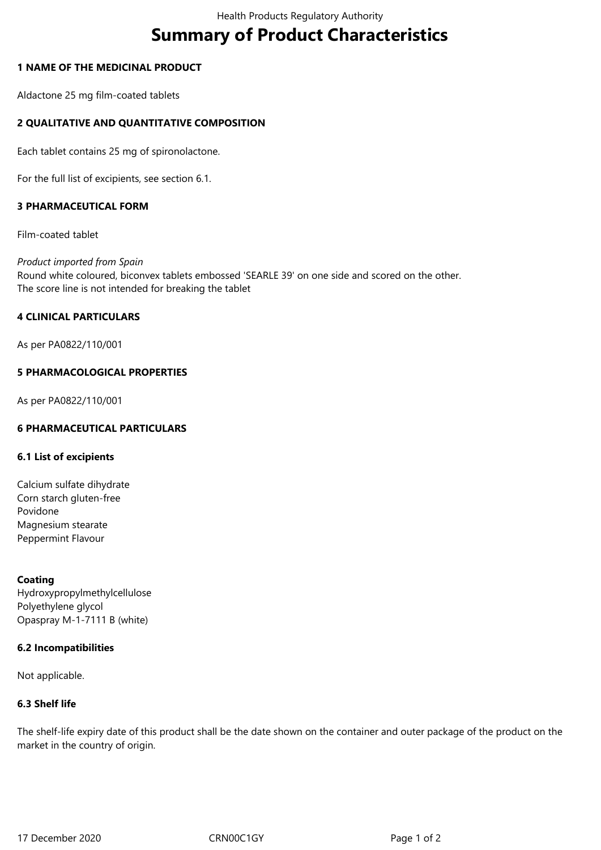# **Summary of Product Characteristics**

# **1 NAME OF THE MEDICINAL PRODUCT**

Aldactone 25 mg film-coated tablets

# **2 QUALITATIVE AND QUANTITATIVE COMPOSITION**

Each tablet contains 25 mg of spironolactone.

For the full list of excipients, see section 6.1.

# **3 PHARMACEUTICAL FORM**

Film-coated tablet

*Product imported from Spain* Round white coloured, biconvex tablets embossed 'SEARLE 39' on one side and scored on the other. The score line is not intended for breaking the tablet

# **4 CLINICAL PARTICULARS**

As per PA0822/110/001

#### **5 PHARMACOLOGICAL PROPERTIES**

As per PA0822/110/001

# **6 PHARMACEUTICAL PARTICULARS**

#### **6.1 List of excipients**

Calcium sulfate dihydrate Corn starch gluten-free Povidone Magnesium stearate Peppermint Flavour

# **Coating**

Hydroxypropylmethylcellulose Polyethylene glycol Opaspray M-1-7111 B (white)

#### **6.2 Incompatibilities**

Not applicable.

#### **6.3 Shelf life**

The shelf-life expiry date of this product shall be the date shown on the container and outer package of the product on the market in the country of origin.